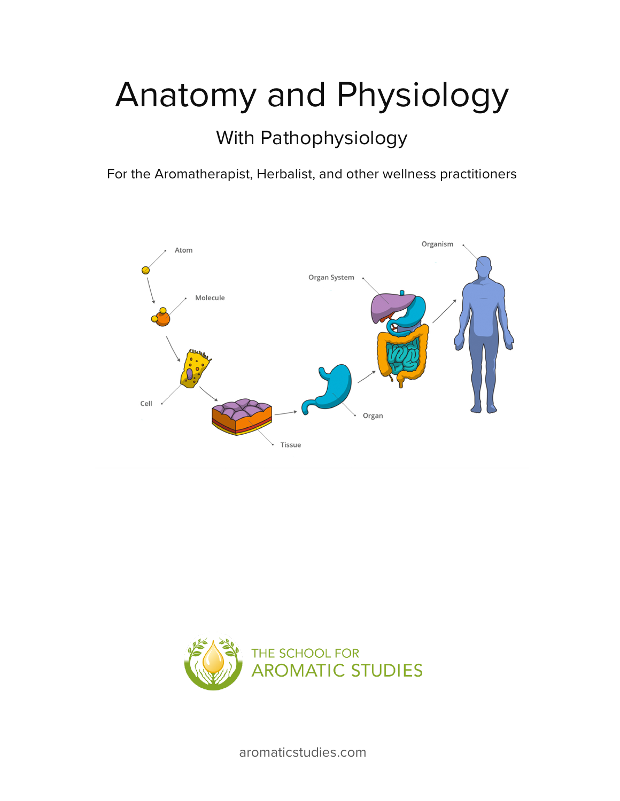# Anatomy and Physiology

## With Pathophysiology

For the Aromatherapist, Herbalist, and other wellness practitioners





aromaticstudies.com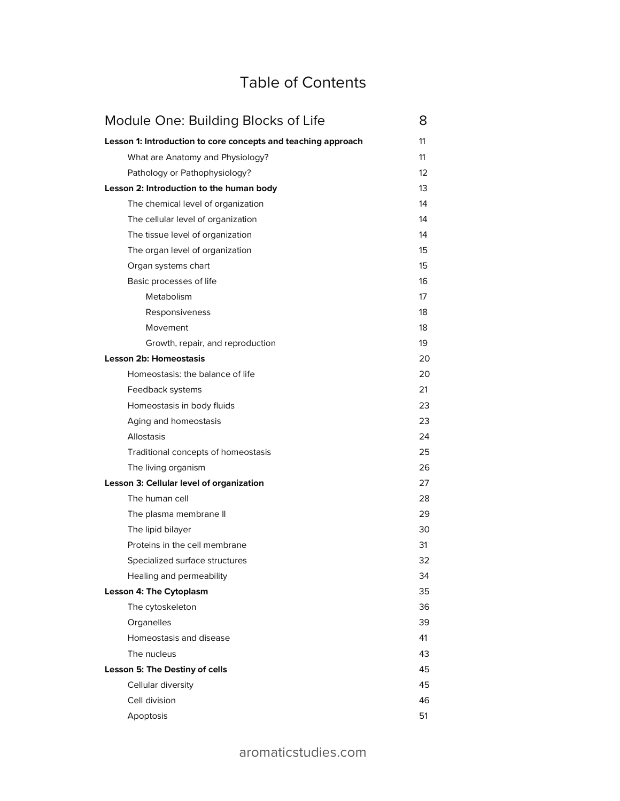## Table of Contents

| Module One: Building Blocks of Life                           | 8                 |
|---------------------------------------------------------------|-------------------|
| Lesson 1: Introduction to core concepts and teaching approach | 11                |
| What are Anatomy and Physiology?                              | 11                |
| Pathology or Pathophysiology?                                 | $12 \overline{ }$ |
| Lesson 2: Introduction to the human body                      | 13                |
| The chemical level of organization                            | 14                |
| The cellular level of organization                            | 14                |
| The tissue level of organization                              | 14                |
| The organ level of organization                               | 15                |
| Organ systems chart                                           | 15                |
| Basic processes of life                                       | 16                |
| Metabolism                                                    | 17                |
| Responsiveness                                                | 18                |
| Movement                                                      | 18                |
| Growth, repair, and reproduction                              | 19                |
| <b>Lesson 2b: Homeostasis</b>                                 | 20                |
| Homeostasis: the balance of life                              | 20                |
| Feedback systems                                              | 21                |
| Homeostasis in body fluids                                    | 23                |
| Aging and homeostasis                                         | 23                |
| Allostasis                                                    | 24                |
| Traditional concepts of homeostasis                           | 25                |
| The living organism                                           | 26                |
| Lesson 3: Cellular level of organization                      | 27                |
| The human cell                                                | 28                |
| The plasma membrane II                                        | 29                |
| The lipid bilayer                                             | 30                |
| Proteins in the cell membrane                                 | 31                |
| Specialized surface structures                                | 32                |
| Healing and permeability                                      | 34                |
| <b>Lesson 4: The Cytoplasm</b>                                | 35                |
| The cytoskeleton                                              | 36                |
| Organelles                                                    | 39                |
| Homeostasis and disease                                       | 41                |
| The nucleus                                                   | 43                |
| Lesson 5: The Destiny of cells                                | 45                |
| Cellular diversity                                            | 45                |
| Cell division                                                 | 46                |
| Apoptosis                                                     | 51                |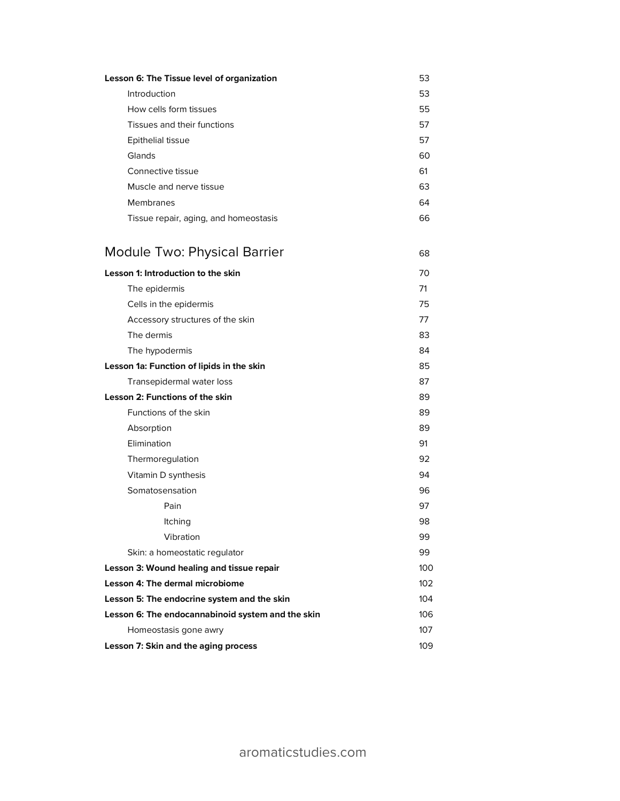| Lesson 6: The Tissue level of organization | 53 |
|--------------------------------------------|----|
| Introduction                               | 53 |
| How cells form tissues                     | 55 |
| Tissues and their functions                | 57 |
| Epithelial tissue                          | 57 |
| Glands                                     | 60 |
| Connective tissue                          | 61 |
| Muscle and nerve tissue                    | 63 |
| Membranes                                  | 64 |
| Tissue repair, aging, and homeostasis      | 66 |
| <b>Module Two: Physical Barrier</b>        | 68 |
| Lesson 1: Introduction to the skin         | 70 |
| The epidermis                              | 71 |
| Cells in the epidermis                     | 75 |
| Accessory structures of the skin           | 77 |
| The dermis                                 | 83 |
| The hypodermis                             | 84 |
| Lesson 1a: Function of lipids in the skin  | 85 |
| Transepidermal water loss                  | 87 |
| Lesson 2: Functions of the skin            | 89 |
| Functions of the skin                      | 89 |
| Absorption                                 | 89 |
| Elimination                                | 91 |
| Thermoregulation                           | 92 |
|                                            |    |

| Vitamin D synthesis                               | 94  |
|---------------------------------------------------|-----|
| Somatosensation                                   | 96  |
| Pain                                              | 97  |
| <b>Itching</b>                                    | 98  |
| Vibration                                         | 99  |
| Skin: a homeostatic regulator                     | 99  |
| Lesson 3: Wound healing and tissue repair         | 100 |
| Lesson 4: The dermal microbiome                   | 102 |
| Lesson 5: The endocrine system and the skin       | 104 |
| Lesson 6: The endocannabinoid system and the skin | 106 |
| Homeostasis gone awry                             | 107 |
| Lesson 7: Skin and the aging process              | 109 |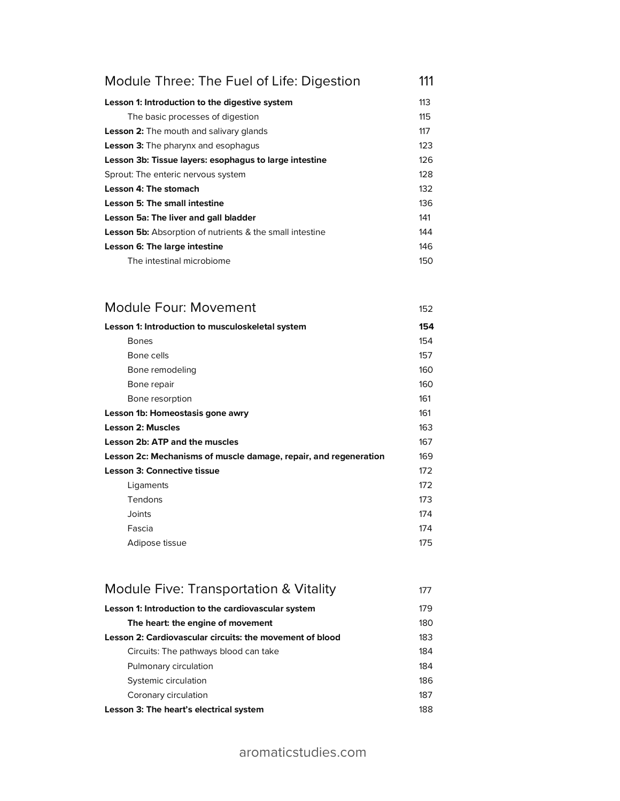| Module Three: The Fuel of Life: Digestion                       | 111 |
|-----------------------------------------------------------------|-----|
| Lesson 1: Introduction to the digestive system                  | 113 |
| The basic processes of digestion                                | 115 |
| <b>Lesson 2:</b> The mouth and salivary glands                  | 117 |
| <b>Lesson 3:</b> The pharynx and esophagus                      | 123 |
| Lesson 3b: Tissue layers: esophagus to large intestine          | 126 |
| Sprout: The enteric nervous system                              | 128 |
| Lesson 4: The stomach                                           | 132 |
| Lesson 5: The small intestine                                   | 136 |
| Lesson 5a: The liver and gall bladder                           | 141 |
| <b>Lesson 5b:</b> Absorption of nutrients & the small intestine | 144 |
| Lesson 6: The large intestine                                   | 146 |
| The intestinal microbiome                                       | 150 |

| Module Four: Movement                                            | 152 |
|------------------------------------------------------------------|-----|
| Lesson 1: Introduction to musculoskeletal system                 | 154 |
| <b>Bones</b>                                                     | 154 |
| Bone cells                                                       | 157 |
| Bone remodeling                                                  | 160 |
| Bone repair                                                      | 160 |
| Bone resorption                                                  | 161 |
| Lesson 1b: Homeostasis gone awry                                 | 161 |
| <b>Lesson 2: Muscles</b>                                         | 163 |
| Lesson 2b: ATP and the muscles                                   | 167 |
| Lesson 2c: Mechanisms of muscle damage, repair, and regeneration | 169 |
| <b>Lesson 3: Connective tissue</b>                               | 172 |
| Ligaments                                                        | 172 |
| Tendons                                                          | 173 |
| Joints                                                           | 174 |
| Fascia                                                           | 174 |
| Adipose tissue                                                   | 175 |

| Module Five: Transportation & Vitality                   | 177 |
|----------------------------------------------------------|-----|
| Lesson 1: Introduction to the cardiovascular system      | 179 |
| The heart: the engine of movement                        | 180 |
| Lesson 2: Cardiovascular circuits: the movement of blood | 183 |
| Circuits: The pathways blood can take                    | 184 |
| Pulmonary circulation                                    | 184 |
| Systemic circulation                                     | 186 |
| Coronary circulation                                     | 187 |
| Lesson 3: The heart's electrical system                  | 188 |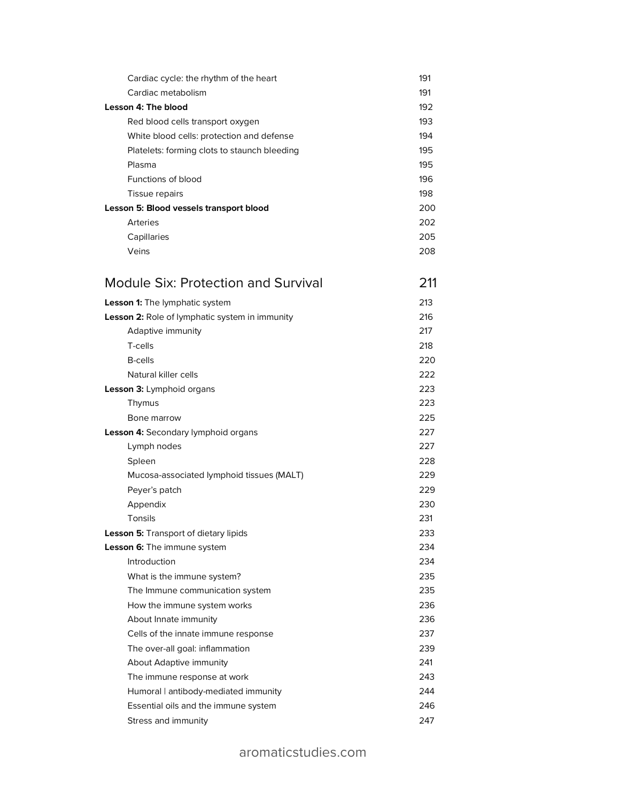| Cardiac cycle: the rhythm of the heart         | 191 |
|------------------------------------------------|-----|
| Cardiac metabolism                             | 191 |
| <b>Lesson 4: The blood</b>                     | 192 |
| Red blood cells transport oxygen               | 193 |
| White blood cells: protection and defense      | 194 |
| Platelets: forming clots to staunch bleeding   | 195 |
| Plasma                                         | 195 |
| Functions of blood                             | 196 |
| Tissue repairs                                 | 198 |
| Lesson 5: Blood vessels transport blood        | 200 |
| <b>Arteries</b>                                | 202 |
| Capillaries                                    | 205 |
| Veins                                          | 208 |
| <b>Module Six: Protection and Survival</b>     | 211 |
| Lesson 1: The lymphatic system                 | 213 |
| Lesson 2: Role of lymphatic system in immunity | 216 |
| Adaptive immunity                              | 217 |
| T-cells                                        | 218 |
| <b>B-cells</b>                                 | 220 |
| Natural killer cells                           | 222 |
| Lesson 3: Lymphoid organs                      | 223 |
| Thymus                                         | 223 |
| Bone marrow                                    | 225 |
| Lesson 4: Secondary lymphoid organs            | 227 |
| Lymph nodes                                    | 227 |
| Spleen                                         | 228 |
| Mucosa-associated lymphoid tissues (MALT)      | 229 |
| Peyer's patch                                  | 229 |
| Appendix                                       | 230 |
| Tonsils                                        | 231 |
| Lesson 5: Transport of dietary lipids          | 233 |
| <b>Lesson 6:</b> The immune system             | 234 |
| Introduction                                   | 234 |
| What is the immune system?                     | 235 |
| The Immune communication system                | 235 |
| How the immune system works                    | 236 |
| About Innate immunity                          | 236 |
| Cells of the innate immune response            | 237 |
| The over-all goal: inflammation                | 239 |
| About Adaptive immunity                        | 241 |
| The immune response at work                    | 243 |
| Humoral   antibody-mediated immunity           | 244 |
| Essential oils and the immune system           | 246 |
| Stress and immunity                            | 247 |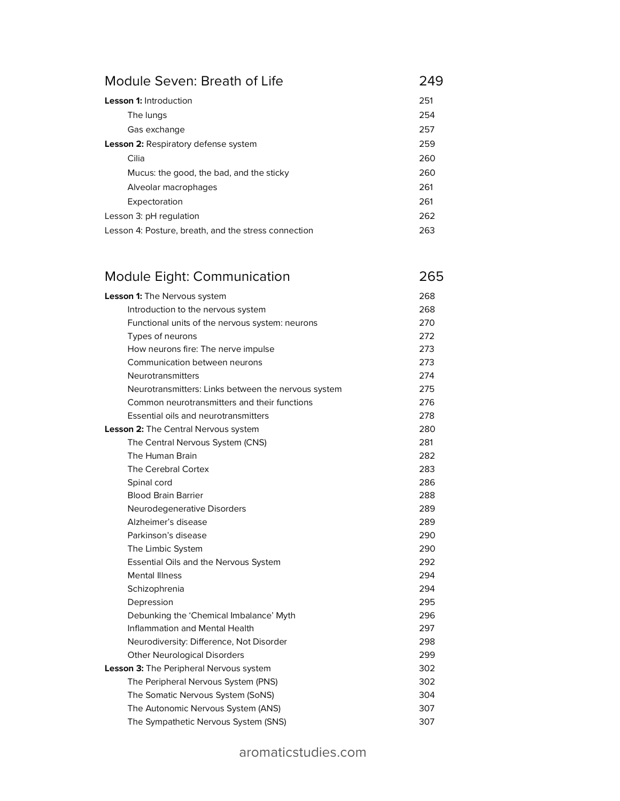#### Module Seven: Breath of Life **249**

| <b>Lesson 1:</b> Introduction                        | 251 |
|------------------------------------------------------|-----|
| The lungs                                            | 254 |
| Gas exchange                                         | 257 |
| <b>Lesson 2: Respiratory defense system</b>          | 259 |
| Cilia                                                | 260 |
| Mucus: the good, the bad, and the sticky             | 260 |
| Alveolar macrophages                                 | 261 |
| Expectoration                                        | 261 |
| Lesson 3: pH regulation                              | 262 |
| Lesson 4: Posture, breath, and the stress connection | 263 |

### Module Eight: Communication 265

| Lesson 1: The Nervous system                        | 268 |
|-----------------------------------------------------|-----|
| Introduction to the nervous system                  | 268 |
| Functional units of the nervous system: neurons     | 270 |
| Types of neurons                                    | 272 |
| How neurons fire: The nerve impulse                 | 273 |
| Communication between neurons                       | 273 |
| Neurotransmitters                                   | 274 |
| Neurotransmitters: Links between the nervous system | 275 |
| Common neurotransmitters and their functions        | 276 |
| Essential oils and neurotransmitters                | 278 |
| Lesson 2: The Central Nervous system                | 280 |
| The Central Nervous System (CNS)                    | 281 |
| The Human Brain                                     | 282 |
| The Cerebral Cortex                                 | 283 |
| Spinal cord                                         | 286 |
| <b>Blood Brain Barrier</b>                          | 288 |
| Neurodegenerative Disorders                         | 289 |
| Alzheimer's disease                                 | 289 |
| Parkinson's disease                                 | 290 |
| The Limbic System                                   | 290 |
| Essential Oils and the Nervous System               | 292 |
| <b>Mental Illness</b>                               | 294 |
| Schizophrenia                                       | 294 |
| Depression                                          | 295 |
| Debunking the 'Chemical Imbalance' Myth             | 296 |
| Inflammation and Mental Health                      | 297 |
| Neurodiversity: Difference, Not Disorder            | 298 |
| <b>Other Neurological Disorders</b>                 | 299 |
| Lesson 3: The Peripheral Nervous system             | 302 |
| The Peripheral Nervous System (PNS)                 | 302 |
| The Somatic Nervous System (SoNS)                   | 304 |
| The Autonomic Nervous System (ANS)                  | 307 |
| The Sympathetic Nervous System (SNS)                | 307 |
|                                                     |     |